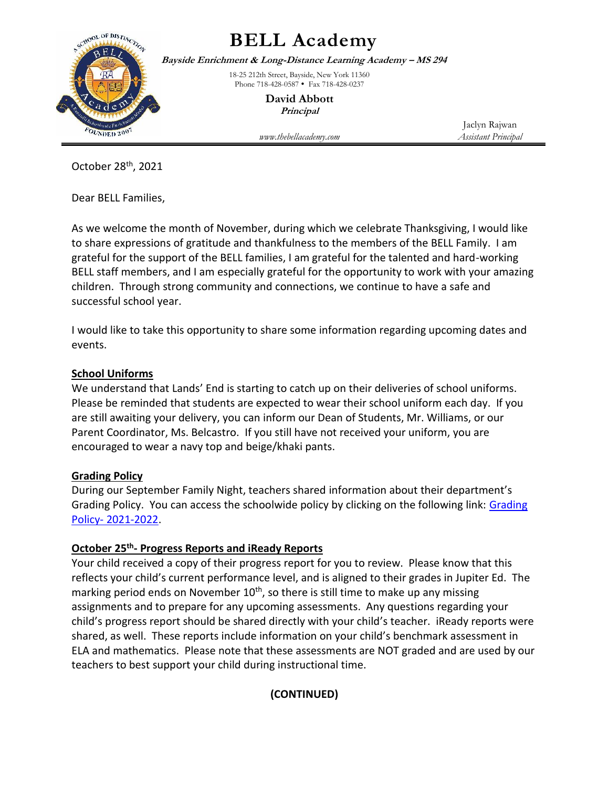

## **BELL Academy**

**Bayside Enrichment & Long-Distance Learning Academy – MS 294**

18-25 212th Street, Bayside, New York 11360 Phone 718-428-0587 • Fax 718-428-0237

> **David Abbott Principal**

*www.thebellacademy.com Assistant Principal*

Jaclyn Rajwan

October 28th, 2021

Dear BELL Families,

As we welcome the month of November, during which we celebrate Thanksgiving, I would like to share expressions of gratitude and thankfulness to the members of the BELL Family. I am grateful for the support of the BELL families, I am grateful for the talented and hard-working BELL staff members, and I am especially grateful for the opportunity to work with your amazing children. Through strong community and connections, we continue to have a safe and successful school year.

I would like to take this opportunity to share some information regarding upcoming dates and events.

### **School Uniforms**

We understand that Lands' End is starting to catch up on their deliveries of school uniforms. Please be reminded that students are expected to wear their school uniform each day. If you are still awaiting your delivery, you can inform our Dean of Students, Mr. Williams, or our Parent Coordinator, Ms. Belcastro. If you still have not received your uniform, you are encouraged to wear a navy top and beige/khaki pants.

#### **Grading Policy**

During our September Family Night, teachers shared information about their department's Grading Policy. You can access the schoolwide policy by clicking on the following link: Grading Policy- [2021-2022.](http://www.thebellacademy.com/bell-academy-grading-policy.html)

### **October 25 th - Progress Reports and iReady Reports**

Your child received a copy of their progress report for you to review. Please know that this reflects your child's current performance level, and is aligned to their grades in Jupiter Ed. The marking period ends on November  $10<sup>th</sup>$ , so there is still time to make up any missing assignments and to prepare for any upcoming assessments. Any questions regarding your child's progress report should be shared directly with your child's teacher. iReady reports were shared, as well. These reports include information on your child's benchmark assessment in ELA and mathematics. Please note that these assessments are NOT graded and are used by our teachers to best support your child during instructional time.

### **(CONTINUED)**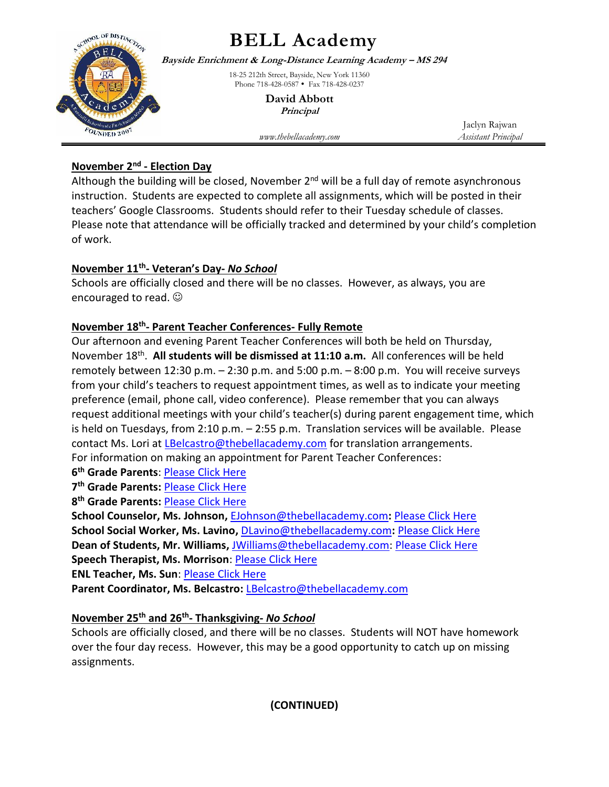

# **BELL Academy**

**Bayside Enrichment & Long-Distance Learning Academy – MS 294**

18-25 212th Street, Bayside, New York 11360 Phone 718-428-0587 • Fax 718-428-0237

> **David Abbott Principal**

*www.thebellacademy.com Assistant Principal*

Jaclyn Rajwan

### **November 2nd - Election Day**

Although the building will be closed, November  $2^{nd}$  will be a full day of remote asynchronous instruction. Students are expected to complete all assignments, which will be posted in their teachers' Google Classrooms. Students should refer to their Tuesday schedule of classes. Please note that attendance will be officially tracked and determined by your child's completion of work.

### **November 11th - Veteran's Day-** *No School*

Schools are officially closed and there will be no classes. However, as always, you are encouraged to read.  $\odot$ 

### **November 18th - Parent Teacher Conferences- Fully Remote**

Our afternoon and evening Parent Teacher Conferences will both be held on Thursday, November 18<sup>th</sup>. All students will be dismissed at 11:10 a.m. All conferences will be held remotely between 12:30 p.m. – 2:30 p.m. and 5:00 p.m. – 8:00 p.m. You will receive surveys from your child's teachers to request appointment times, as well as to indicate your meeting preference (email, phone call, video conference). Please remember that you can always request additional meetings with your child's teacher(s) during parent engagement time, which is held on Tuesdays, from 2:10 p.m. – 2:55 p.m. Translation services will be available. Please contact Ms. Lori at [LBelcastro@thebellacademy.com](mailto:LBelcastro@thebellacademy.com) for translation arrangements. For information on making an appointment for Parent Teacher Conferences:

**6 th Grade Parents**: [Please Click Here](https://docs.google.com/document/d/1j93RF2-YZJI9flO8yV7UkoMaGxvlV7w6/edit)

**7 th Grade Parents:** [Please Click Here](https://docs.google.com/document/d/1sIUXTFNmOyBQ0A9sRZQIf8aOcVrEPgY9PrJqvf8WjJ8/edit)

**8 th Grade Parents:** [Please Click Here](https://docs.google.com/document/d/1Nq4OLco8L4QckxQGMOGqP2XaNAwflZ3OjhvM0GsVt6Y/edit)

**School Counselor, Ms. Johnson,** [EJohnson@thebellacademy.com](mailto:EJohnson@thebellacademy.com)**:** [Please Click Here](https://docs.google.com/forms/d/e/1FAIpQLSdULUe5Y2zgfRhMm7EbhCO4PKAeWWvjOTSkvIWh_32ZbxHXFA/viewform?vc=0&c=0&w=1&flr=0) **School Social Worker, Ms. Lavino,** [DLavino@thebellacademy.com](mailto:DLavino@thebellacademy.com)**:** [Please Click Here](https://docs.google.com/forms/d/e/1FAIpQLSdHOzmVi9ith3xzGpXRnZHT5ipCfwvGH_RmDG5EyEe7yI1Scg/viewform?vc=0&c=0&w=1&flr=0) **Dean of Students, Mr. Williams,** [JWilliams@thebellacademy.com:](mailto:JWilliams@thebellacademy.com) [Please Click Here](https://forms.gle/hR4MotHqrrXjhrcj9) **Speech Therapist, Ms. Morrison**: [Please Click Here](https://docs.google.com/forms/d/1qaDKexPgotydb2FsZLKkoVtSVPng-qmMcKozS7smYS0/viewform?ts=61794737&edit_requested=true)

**ENL Teacher, Ms. Sun**[: Please Click Here](https://nam10.safelinks.protection.outlook.com/?url=https%3A%2F%2Fdocs.google.com%2Fforms%2Fd%2Fe%2F1FAIpQLSeOvQ-Oyt01SbrphiuIdQ9wXafekGesv4gXG2pxlU9nEjeJCg%2Fviewform%3Fusp%3Dsf_link&data=04%7C01%7CDAbbott%40schools.nyc.gov%7C35ed0fdf101348c8f5dc08d99949dfc3%7C18492cb7ef45456185710c42e5f7ac07%7C0%7C0%7C637709364833362171%7CUnknown%7CTWFpbGZsb3d8eyJWIjoiMC4wLjAwMDAiLCJQIjoiV2luMzIiLCJBTiI6Ik1haWwiLCJXVCI6Mn0%3D%7C1000&sdata=hOM4jWWALp3Q2lHpdfJ3L2T%2BlmiUCKnDCmig74o0j%2F0%3D&reserved=0)

**Parent Coordinator, Ms. Belcastro:** [LBelcastro@thebellacademy.com](mailto:LBelcastro@thebellacademy.com)

### **November 25th and 26th - Thanksgiving-** *No School*

Schools are officially closed, and there will be no classes. Students will NOT have homework over the four day recess. However, this may be a good opportunity to catch up on missing assignments.

**(CONTINUED)**